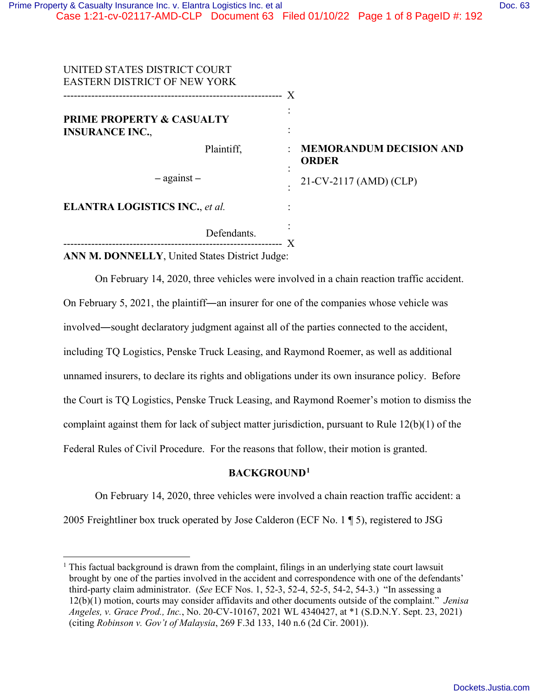| UNITED STATES DISTRICT COURT<br><b>EASTERN DISTRICT OF NEW YORK</b> | X                                                   |
|---------------------------------------------------------------------|-----------------------------------------------------|
| <b>PRIME PROPERTY &amp; CASUALTY</b><br><b>INSURANCE INC.,</b>      |                                                     |
| Plaintiff,                                                          | <b>MEMORANDUM DECISION AND</b><br><b>ORDER</b><br>٠ |
| $-$ against $-$                                                     | 21-CV-2117 (AMD) (CLP)                              |
| <b>ELANTRA LOGISTICS INC., et al.</b>                               |                                                     |
| Defendants.                                                         |                                                     |

**ANN M. DONNELLY**, United States District Judge:

On February 14, 2020, three vehicles were involved in a chain reaction traffic accident. On February 5, 2021, the plaintiff**―**an insurer for one of the companies whose vehicle was involved**―**sought declaratory judgment against all of the parties connected to the accident, including TQ Logistics, Penske Truck Leasing, and Raymond Roemer, as well as additional unnamed insurers, to declare its rights and obligations under its own insurance policy. Before the Court is TQ Logistics, Penske Truck Leasing, and Raymond Roemer's motion to dismiss the complaint against them for lack of subject matter jurisdiction, pursuant to Rule 12(b)(1) of the Federal Rules of Civil Procedure. For the reasons that follow, their motion is granted.

### **BACKGROUND<sup>1</sup>**

On February 14, 2020, three vehicles were involved a chain reaction traffic accident: a

2005 Freightliner box truck operated by Jose Calderon (ECF No. 1 ¶ 5), registered to JSG

<sup>&</sup>lt;sup>1</sup> This factual background is drawn from the complaint, filings in an underlying state court lawsuit brought by one of the parties involved in the accident and correspondence with one of the defendants' third-party claim administrator. (*See* ECF Nos. 1, 52-3, 52-4, 52-5, 54-2, 54-3.) "In assessing a 12(b)(1) motion, courts may consider affidavits and other documents outside of the complaint." *Jenisa Angeles, v. Grace Prod., Inc.*, No. 20-CV-10167, 2021 WL 4340427, at \*1 (S.D.N.Y. Sept. 23, 2021) (citing *Robinson v. Gov't of Malaysia*, 269 F.3d 133, 140 n.6 (2d Cir. 2001)).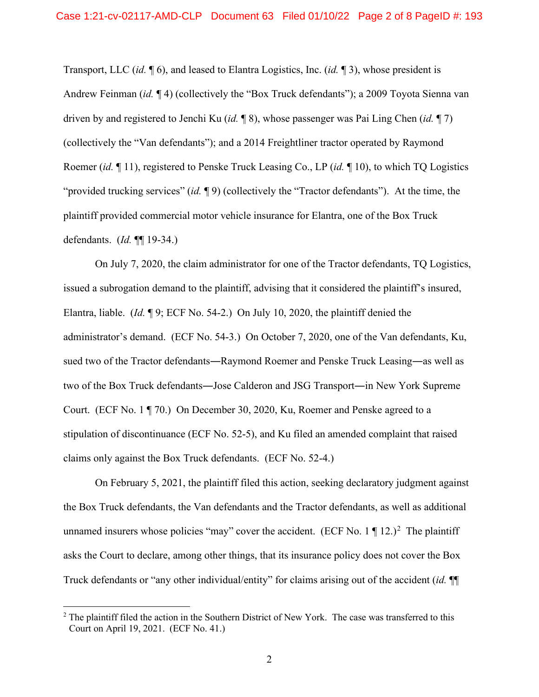Transport, LLC (*id.* ¶ 6), and leased to Elantra Logistics, Inc. (*id.* ¶ 3), whose president is Andrew Feinman (*id.* ¶ 4) (collectively the "Box Truck defendants"); a 2009 Toyota Sienna van driven by and registered to Jenchi Ku (*id.* ¶ 8), whose passenger was Pai Ling Chen (*id.* ¶ 7) (collectively the "Van defendants"); and a 2014 Freightliner tractor operated by Raymond Roemer (*id.* ¶ 11), registered to Penske Truck Leasing Co., LP (*id.* ¶ 10), to which TQ Logistics "provided trucking services" (*id.* ¶ 9) (collectively the "Tractor defendants"). At the time, the plaintiff provided commercial motor vehicle insurance for Elantra, one of the Box Truck defendants. (*Id.* ¶¶ 19-34.)

On July 7, 2020, the claim administrator for one of the Tractor defendants, TQ Logistics, issued a subrogation demand to the plaintiff, advising that it considered the plaintiff's insured, Elantra, liable. (*Id.* ¶ 9; ECF No. 54-2.) On July 10, 2020, the plaintiff denied the administrator's demand. (ECF No. 54-3.) On October 7, 2020, one of the Van defendants, Ku, sued two of the Tractor defendants**―**Raymond Roemer and Penske Truck Leasing**―**as well as two of the Box Truck defendants**―**Jose Calderon and JSG Transport**―**in New York Supreme Court. (ECF No. 1 ¶ 70.) On December 30, 2020, Ku, Roemer and Penske agreed to a stipulation of discontinuance (ECF No. 52-5), and Ku filed an amended complaint that raised claims only against the Box Truck defendants. (ECF No. 52-4.)

On February 5, 2021, the plaintiff filed this action, seeking declaratory judgment against the Box Truck defendants, the Van defendants and the Tractor defendants, as well as additional unnamed insurers whose policies "may" cover the accident. (ECF No. 1  $\P$  12.)<sup>2</sup> The plaintiff asks the Court to declare, among other things, that its insurance policy does not cover the Box Truck defendants or "any other individual/entity" for claims arising out of the accident (*id.* ¶¶

<sup>&</sup>lt;sup>2</sup> The plaintiff filed the action in the Southern District of New York. The case was transferred to this Court on April 19, 2021. (ECF No. 41.)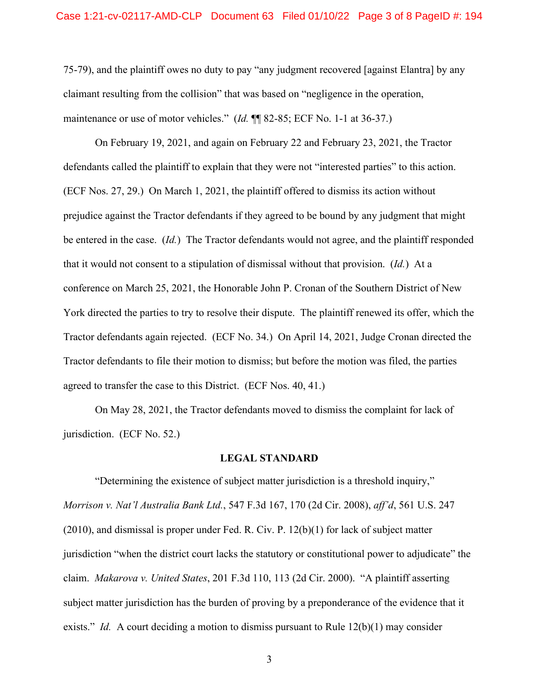75-79), and the plaintiff owes no duty to pay "any judgment recovered [against Elantra] by any claimant resulting from the collision" that was based on "negligence in the operation, maintenance or use of motor vehicles." (*Id.* ¶¶ 82-85; ECF No. 1-1 at 36-37.)

On February 19, 2021, and again on February 22 and February 23, 2021, the Tractor defendants called the plaintiff to explain that they were not "interested parties" to this action. (ECF Nos. 27, 29.) On March 1, 2021, the plaintiff offered to dismiss its action without prejudice against the Tractor defendants if they agreed to be bound by any judgment that might be entered in the case. (*Id.*) The Tractor defendants would not agree, and the plaintiff responded that it would not consent to a stipulation of dismissal without that provision. (*Id.*) At a conference on March 25, 2021, the Honorable John P. Cronan of the Southern District of New York directed the parties to try to resolve their dispute. The plaintiff renewed its offer, which the Tractor defendants again rejected. (ECF No. 34.) On April 14, 2021, Judge Cronan directed the Tractor defendants to file their motion to dismiss; but before the motion was filed, the parties agreed to transfer the case to this District. (ECF Nos. 40, 41.)

On May 28, 2021, the Tractor defendants moved to dismiss the complaint for lack of jurisdiction. (ECF No. 52.)

## **LEGAL STANDARD**

"Determining the existence of subject matter jurisdiction is a threshold inquiry," *Morrison v. Nat'l Australia Bank Ltd.*, 547 F.3d 167, 170 (2d Cir. 2008), *aff'd*, 561 U.S. 247 (2010), and dismissal is proper under Fed. R. Civ. P. 12(b)(1) for lack of subject matter jurisdiction "when the district court lacks the statutory or constitutional power to adjudicate" the claim. *Makarova v. United States*, 201 F.3d 110, 113 (2d Cir. 2000). "A plaintiff asserting subject matter jurisdiction has the burden of proving by a preponderance of the evidence that it exists." *Id.* A court deciding a motion to dismiss pursuant to Rule 12(b)(1) may consider

3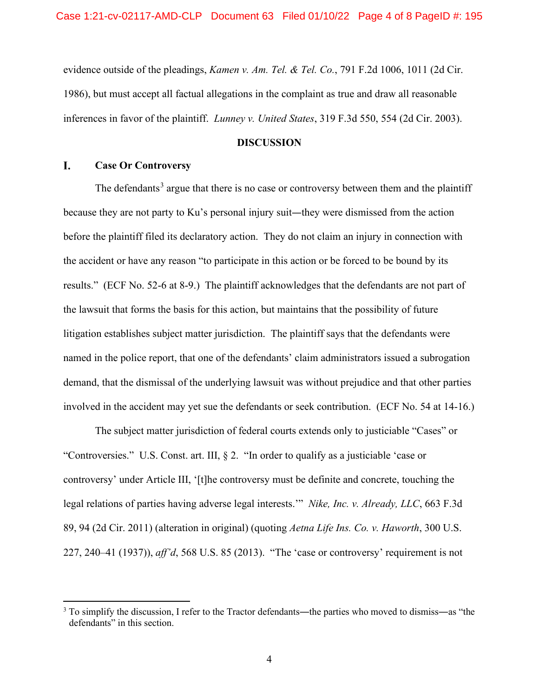evidence outside of the pleadings, *Kamen v. Am. Tel. & Tel. Co.*, 791 F.2d 1006, 1011 (2d Cir. 1986), but must accept all factual allegations in the complaint as true and draw all reasonable inferences in favor of the plaintiff. *Lunney v. United States*, 319 F.3d 550, 554 (2d Cir. 2003).

# **DISCUSSION**

#### I. **Case Or Controversy**

The defendants<sup>3</sup> argue that there is no case or controversy between them and the plaintiff because they are not party to Ku's personal injury suit—they were dismissed from the action before the plaintiff filed its declaratory action. They do not claim an injury in connection with the accident or have any reason "to participate in this action or be forced to be bound by its results." (ECF No. 52-6 at 8-9.) The plaintiff acknowledges that the defendants are not part of the lawsuit that forms the basis for this action, but maintains that the possibility of future litigation establishes subject matter jurisdiction. The plaintiff says that the defendants were named in the police report, that one of the defendants' claim administrators issued a subrogation demand, that the dismissal of the underlying lawsuit was without prejudice and that other parties involved in the accident may yet sue the defendants or seek contribution. (ECF No. 54 at 14-16.)

The subject matter jurisdiction of federal courts extends only to justiciable "Cases" or "Controversies." U.S. Const. art. III, § 2. "In order to qualify as a justiciable 'case or controversy' under Article III, '[t]he controversy must be definite and concrete, touching the legal relations of parties having adverse legal interests.'" *Nike, Inc. v. Already, LLC*, 663 F.3d 89, 94 (2d Cir. 2011) (alteration in original) (quoting *Aetna Life Ins. Co. v. Haworth*, 300 U.S. 227, 240–41 (1937)), *aff'd*, 568 U.S. 85 (2013). "The 'case or controversy' requirement is not

 $3$  To simplify the discussion, I refer to the Tractor defendants—the parties who moved to dismiss—as "the defendants" in this section.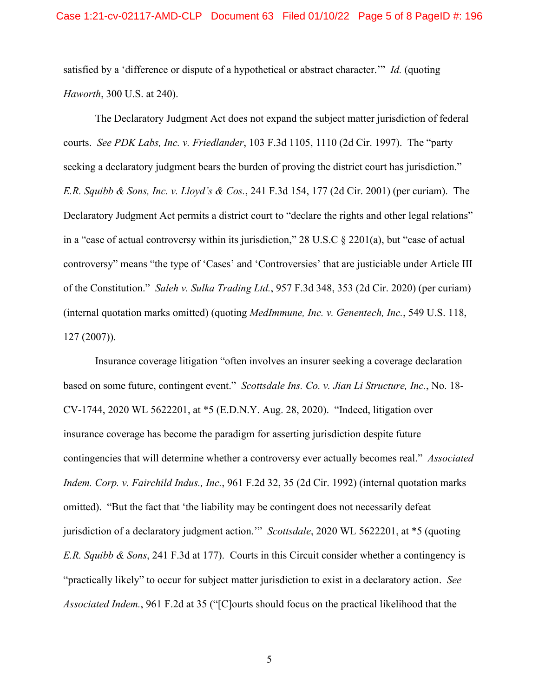satisfied by a 'difference or dispute of a hypothetical or abstract character.'" *Id.* (quoting *Haworth*, 300 U.S. at 240).

The Declaratory Judgment Act does not expand the subject matter jurisdiction of federal courts. *See PDK Labs, Inc. v. Friedlander*, 103 F.3d 1105, 1110 (2d Cir. 1997). The "party seeking a declaratory judgment bears the burden of proving the district court has jurisdiction." *E.R. Squibb & Sons, Inc. v. Lloyd's & Cos.*, 241 F.3d 154, 177 (2d Cir. 2001) (per curiam). The Declaratory Judgment Act permits a district court to "declare the rights and other legal relations" in a "case of actual controversy within its jurisdiction," 28 U.S.C § 2201(a), but "case of actual controversy" means "the type of 'Cases' and 'Controversies' that are justiciable under Article III of the Constitution." *Saleh v. Sulka Trading Ltd.*, 957 F.3d 348, 353 (2d Cir. 2020) (per curiam) (internal quotation marks omitted) (quoting *MedImmune, Inc. v. Genentech, Inc.*, 549 U.S. 118, 127 (2007)).

Insurance coverage litigation "often involves an insurer seeking a coverage declaration based on some future, contingent event." *Scottsdale Ins. Co. v. Jian Li Structure, Inc.*, No. 18- CV-1744, 2020 WL 5622201, at \*5 (E.D.N.Y. Aug. 28, 2020). "Indeed, litigation over insurance coverage has become the paradigm for asserting jurisdiction despite future contingencies that will determine whether a controversy ever actually becomes real." *Associated Indem. Corp. v. Fairchild Indus., Inc.*, 961 F.2d 32, 35 (2d Cir. 1992) (internal quotation marks omitted). "But the fact that 'the liability may be contingent does not necessarily defeat jurisdiction of a declaratory judgment action.'" *Scottsdale*, 2020 WL 5622201, at \*5 (quoting *E.R. Squibb & Sons*, 241 F.3d at 177). Courts in this Circuit consider whether a contingency is "practically likely" to occur for subject matter jurisdiction to exist in a declaratory action. *See Associated Indem.*, 961 F.2d at 35 ("[C]ourts should focus on the practical likelihood that the

5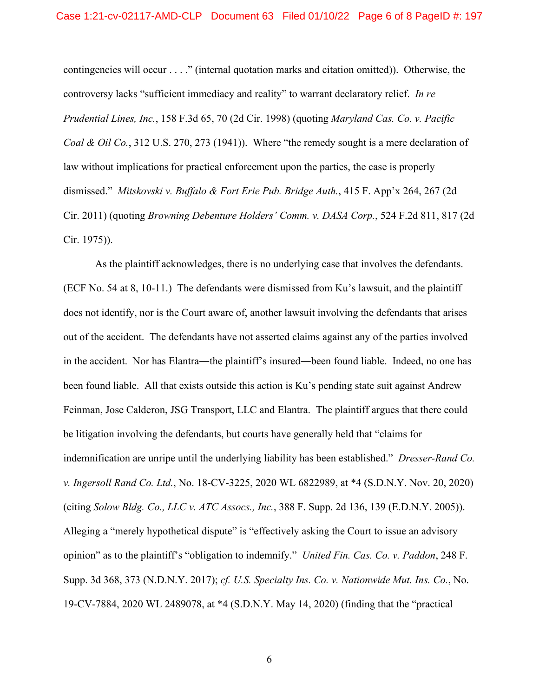contingencies will occur . . . ." (internal quotation marks and citation omitted)). Otherwise, the controversy lacks "sufficient immediacy and reality" to warrant declaratory relief. *In re Prudential Lines, Inc.*, 158 F.3d 65, 70 (2d Cir. 1998) (quoting *Maryland Cas. Co. v. Pacific Coal & Oil Co.*, 312 U.S. 270, 273 (1941)). Where "the remedy sought is a mere declaration of law without implications for practical enforcement upon the parties, the case is properly dismissed." *Mitskovski v. Buffalo & Fort Erie Pub. Bridge Auth.*, 415 F. App'x 264, 267 (2d Cir. 2011) (quoting *Browning Debenture Holders' Comm. v. DASA Corp.*, 524 F.2d 811, 817 (2d Cir. 1975)).

As the plaintiff acknowledges, there is no underlying case that involves the defendants. (ECF No. 54 at 8, 10-11.) The defendants were dismissed from Ku's lawsuit, and the plaintiff does not identify, nor is the Court aware of, another lawsuit involving the defendants that arises out of the accident. The defendants have not asserted claims against any of the parties involved in the accident. Nor has Elantra**―**the plaintiff's insured**―**been found liable. Indeed, no one has been found liable. All that exists outside this action is Ku's pending state suit against Andrew Feinman, Jose Calderon, JSG Transport, LLC and Elantra. The plaintiff argues that there could be litigation involving the defendants, but courts have generally held that "claims for indemnification are unripe until the underlying liability has been established." *Dresser-Rand Co. v. Ingersoll Rand Co. Ltd.*, No. 18-CV-3225, 2020 WL 6822989, at \*4 (S.D.N.Y. Nov. 20, 2020) (citing *Solow Bldg. Co., LLC v. ATC Assocs., Inc.*, 388 F. Supp. 2d 136, 139 (E.D.N.Y. 2005)). Alleging a "merely hypothetical dispute" is "effectively asking the Court to issue an advisory opinion" as to the plaintiff's "obligation to indemnify." *United Fin. Cas. Co. v. Paddon*, 248 F. Supp. 3d 368, 373 (N.D.N.Y. 2017); *cf. U.S. Specialty Ins. Co. v. Nationwide Mut. Ins. Co.*, No. 19-CV-7884, 2020 WL 2489078, at \*4 (S.D.N.Y. May 14, 2020) (finding that the "practical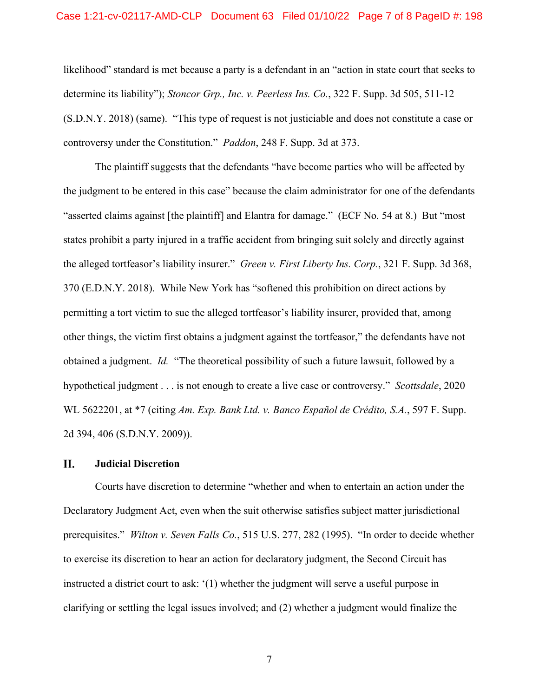likelihood" standard is met because a party is a defendant in an "action in state court that seeks to determine its liability"); *Stoncor Grp., Inc. v. Peerless Ins. Co.*, 322 F. Supp. 3d 505, 511-12 (S.D.N.Y. 2018) (same). "This type of request is not justiciable and does not constitute a case or controversy under the Constitution." *Paddon*, 248 F. Supp. 3d at 373.

The plaintiff suggests that the defendants "have become parties who will be affected by the judgment to be entered in this case" because the claim administrator for one of the defendants "asserted claims against [the plaintiff] and Elantra for damage." (ECF No. 54 at 8.) But "most states prohibit a party injured in a traffic accident from bringing suit solely and directly against the alleged tortfeasor's liability insurer." *Green v. First Liberty Ins. Corp.*, 321 F. Supp. 3d 368, 370 (E.D.N.Y. 2018). While New York has "softened this prohibition on direct actions by permitting a tort victim to sue the alleged tortfeasor's liability insurer, provided that, among other things, the victim first obtains a judgment against the tortfeasor," the defendants have not obtained a judgment. *Id.* "The theoretical possibility of such a future lawsuit, followed by a hypothetical judgment . . . is not enough to create a live case or controversy." *Scottsdale*, 2020 WL 5622201, at \*7 (citing *Am. Exp. Bank Ltd. v. Banco Español de Crédito, S.A.*, 597 F. Supp. 2d 394, 406 (S.D.N.Y. 2009)).

#### II. **Judicial Discretion**

Courts have discretion to determine "whether and when to entertain an action under the Declaratory Judgment Act, even when the suit otherwise satisfies subject matter jurisdictional prerequisites." *Wilton v. Seven Falls Co.*, 515 U.S. 277, 282 (1995). "In order to decide whether to exercise its discretion to hear an action for declaratory judgment, the Second Circuit has instructed a district court to ask: '(1) whether the judgment will serve a useful purpose in clarifying or settling the legal issues involved; and (2) whether a judgment would finalize the

7